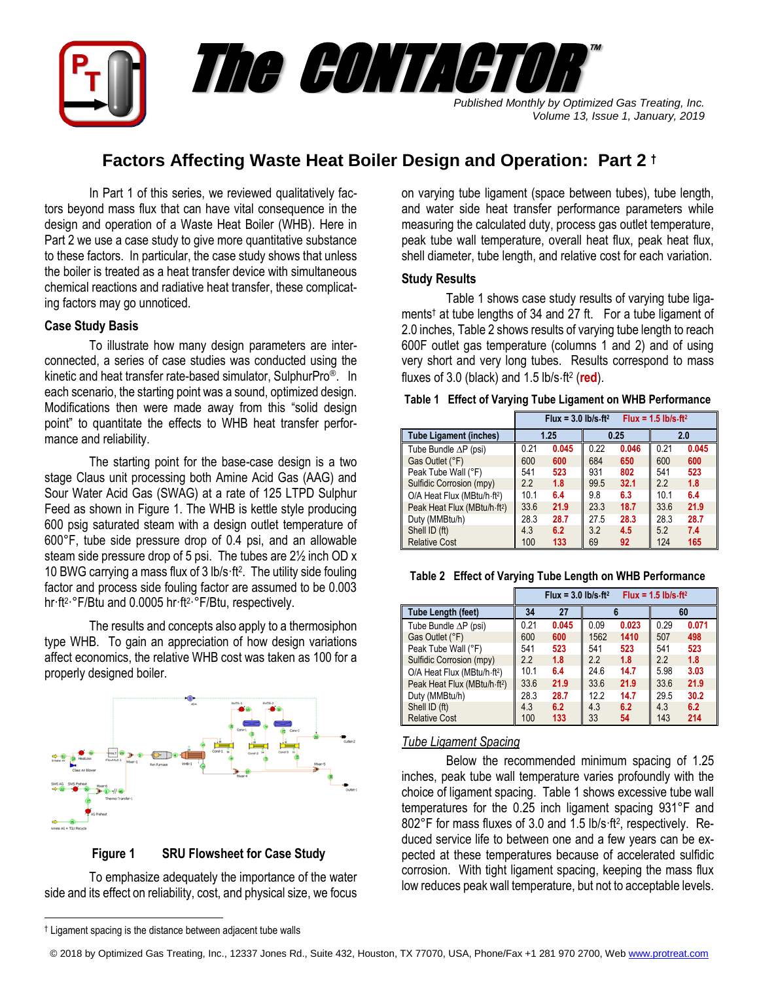

# **Factors Affecting Waste Heat Boiler Design and Operation: Part 2 †**

In Part 1 of this series, we reviewed qualitatively factors beyond mass flux that can have vital consequence in the design and operation of a Waste Heat Boiler (WHB). Here in Part 2 we use a case study to give more quantitative substance to these factors. In particular, the case study shows that unless the boiler is treated as a heat transfer device with simultaneous chemical reactions and radiative heat transfer, these complicating factors may go unnoticed.

## **Case Study Basis**

To illustrate how many design parameters are interconnected, a series of case studies was conducted using the kinetic and heat transfer rate-based simulator, SulphurPro®. In each scenario, the starting point was a sound, optimized design. Modifications then were made away from this "solid design point" to quantitate the effects to WHB heat transfer performance and reliability.

The starting point for the base-case design is a two stage Claus unit processing both Amine Acid Gas (AAG) and Sour Water Acid Gas (SWAG) at a rate of 125 LTPD Sulphur Feed as shown in Figure 1. The WHB is kettle style producing 600 psig saturated steam with a design outlet temperature of 600°F, tube side pressure drop of 0.4 psi, and an allowable steam side pressure drop of 5 psi. The tubes are 2½ inch OD x 10 BWG carrying a mass flux of 3 lb/s·ft 2 . The utility side fouling factor and process side fouling factor are assumed to be 0.003 hr·ft<sup>2</sup>·°F/Btu and 0.0005 hr·ft<sup>2</sup>·°F/Btu, respectively.

The results and concepts also apply to a thermosiphon type WHB. To gain an appreciation of how design variations affect economics, the relative WHB cost was taken as 100 for a properly designed boiler.



 **Figure 1 SRU Flowsheet for Case Study**

To emphasize adequately the importance of the water side and its effect on reliability, cost, and physical size, we focus on varying tube ligament (space between tubes), tube length, and water side heat transfer performance parameters while measuring the calculated duty, process gas outlet temperature, peak tube wall temperature, overall heat flux, peak heat flux, shell diameter, tube length, and relative cost for each variation.

### **Study Results**

Table 1 shows case study results of varying tube ligaments † at tube lengths of 34 and 27 ft. For a tube ligament of 2.0 inches, Table 2 shows results of varying tube length to reach 600F outlet gas temperature (columns 1 and 2) and of using very short and very long tubes. Results correspond to mass fluxes of 3.0 (black) and 1.5 lb/s·ft<sup>2</sup> (red).

|                                          | $Flux = 3.0$ lb/s $\cdot$ ft <sup>2</sup><br>$Flux = 1.5$ lb/s $\cdot$ ft <sup>2</sup> |       |      |       |      |       |
|------------------------------------------|----------------------------------------------------------------------------------------|-------|------|-------|------|-------|
| <b>Tube Ligament (inches)</b>            | 1.25                                                                                   |       | 0.25 |       | 2.0  |       |
| Tube Bundle $\Delta P$ (psi)             | 0.21                                                                                   | 0.045 | 0.22 | 0.046 | 0.21 | 0.045 |
| Gas Outlet (°F)                          | 600                                                                                    | 600   | 684  | 650   | 600  | 600   |
| Peak Tube Wall (°F)                      | 541                                                                                    | 523   | 931  | 802   | 541  | 523   |
| Sulfidic Corrosion (mpy)                 | 2.2                                                                                    | 1.8   | 99.5 | 32.1  | 2.2  | 1.8   |
| O/A Heat Flux (MBtu/h-ft <sup>2</sup> )  | 10.1                                                                                   | 6.4   | 9.8  | 6.3   | 10.1 | 6.4   |
| Peak Heat Flux (MBtu/h-ft <sup>2</sup> ) | 33.6                                                                                   | 21.9  | 23.3 | 18.7  | 33.6 | 21.9  |
| Duty (MMBtu/h)                           | 28.3                                                                                   | 28.7  | 27.5 | 28.3  | 28.3 | 28.7  |
| Shell ID (ft)                            | 4.3                                                                                    | 6.2   | 3.2  | 4.5   | 5.2  | 7.4   |
| <b>Relative Cost</b>                     | 100                                                                                    | 133   | 69   | 92    | 124  | 165   |

|  |  |  | Table 1 Effect of Varying Tube Ligament on WHB Performance |
|--|--|--|------------------------------------------------------------|
|--|--|--|------------------------------------------------------------|

**Table 2 Effect of Varying Tube Length on WHB Performance**

|                                          | $Flux = 1.5 lb/s·ft2$<br>Flux = $3.0$ lb/s $\cdot$ ft <sup>2</sup> |       |      |       |      |       |
|------------------------------------------|--------------------------------------------------------------------|-------|------|-------|------|-------|
| Tube Length (feet)                       | 34                                                                 | 27    |      |       | 60   |       |
| Tube Bundle $\Delta P$ (psi)             | 0.21                                                               | 0.045 | 0.09 | 0.023 | 0.29 | 0.071 |
| Gas Outlet (°F)                          | 600                                                                | 600   | 1562 | 1410  | 507  | 498   |
| Peak Tube Wall (°F)                      | 541                                                                | 523   | 541  | 523   | 541  | 523   |
| Sulfidic Corrosion (mpy)                 | 2.2                                                                | 1.8   | 2.2  | 1.8   | 2.2  | 1.8   |
| O/A Heat Flux (MBtu/h-ft <sup>2</sup> )  | 10.1                                                               | 6.4   | 24.6 | 14.7  | 5.98 | 3.03  |
| Peak Heat Flux (MBtu/h-ft <sup>2</sup> ) | 33.6                                                               | 21.9  | 33.6 | 21.9  | 33.6 | 21.9  |
| Duty (MMBtu/h)                           | 28.3                                                               | 28.7  | 122  | 14.7  | 29.5 | 30.2  |
| Shell ID (ft)                            | 4.3                                                                | 6.2   | 4.3  | 6.2   | 4.3  | 6.2   |
| <b>Relative Cost</b>                     | 100                                                                | 133   | 33   | 54    | 143  | 214   |

## *Tube Ligament Spacing*

Below the recommended minimum spacing of 1.25 inches, peak tube wall temperature varies profoundly with the choice of ligament spacing. Table 1 shows excessive tube wall temperatures for the 0.25 inch ligament spacing 931°F and 802°F for mass fluxes of 3.0 and 1.5 lb/s·ft<sup>2</sup> , respectively. Reduced service life to between one and a few years can be expected at these temperatures because of accelerated sulfidic corrosion. With tight ligament spacing, keeping the mass flux low reduces peak wall temperature, but not to acceptable levels.

 $\overline{a}$ 

<sup>†</sup> Ligament spacing is the distance between adjacent tube walls

<sup>© 2018</sup> by Optimized Gas Treating, Inc., 12337 Jones Rd., Suite 432, Houston, TX 77070, USA, Phone/Fax +1 281 970 2700, We[b www.protreat.com](http://www.protreat.com/)